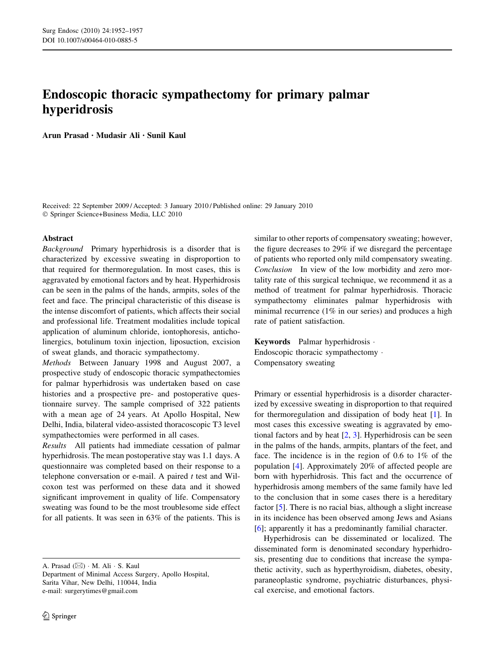# Endoscopic thoracic sympathectomy for primary palmar hyperidrosis

Arun Prasad • Mudasir Ali • Sunil Kaul

Received: 22 September 2009 / Accepted: 3 January 2010 / Published online: 29 January 2010 - Springer Science+Business Media, LLC 2010

### Abstract

Background Primary hyperhidrosis is a disorder that is characterized by excessive sweating in disproportion to that required for thermoregulation. In most cases, this is aggravated by emotional factors and by heat. Hyperhidrosis can be seen in the palms of the hands, armpits, soles of the feet and face. The principal characteristic of this disease is the intense discomfort of patients, which affects their social and professional life. Treatment modalities include topical application of aluminum chloride, iontophoresis, anticholinergics, botulinum toxin injection, liposuction, excision of sweat glands, and thoracic sympathectomy.

Methods Between January 1998 and August 2007, a prospective study of endoscopic thoracic sympathectomies for palmar hyperhidrosis was undertaken based on case histories and a prospective pre- and postoperative questionnaire survey. The sample comprised of 322 patients with a mean age of 24 years. At Apollo Hospital, New Delhi, India, bilateral video-assisted thoracoscopic T3 level sympathectomies were performed in all cases.

Results All patients had immediate cessation of palmar hyperhidrosis. The mean postoperative stay was 1.1 days. A questionnaire was completed based on their response to a telephone conversation or e-mail. A paired  $t$  test and Wilcoxon test was performed on these data and it showed significant improvement in quality of life. Compensatory sweating was found to be the most troublesome side effect for all patients. It was seen in 63% of the patients. This is

A. Prasad ( $\boxtimes$ ) · M. Ali · S. Kaul

Department of Minimal Access Surgery, Apollo Hospital, Sarita Vihar, New Delhi, 110044, India e-mail: surgerytimes@gmail.com

similar to other reports of compensatory sweating; however, the figure decreases to 29% if we disregard the percentage of patients who reported only mild compensatory sweating. Conclusion In view of the low morbidity and zero mortality rate of this surgical technique, we recommend it as a method of treatment for palmar hyperhidrosis. Thoracic sympathectomy eliminates palmar hyperhidrosis with minimal recurrence (1% in our series) and produces a high rate of patient satisfaction.

Keywords Palmar hyperhidrosis - Endoscopic thoracic sympathectomy - Compensatory sweating

Primary or essential hyperhidrosis is a disorder characterized by excessive sweating in disproportion to that required for thermoregulation and dissipation of body heat [\[1](#page-4-0)]. In most cases this excessive sweating is aggravated by emotional factors and by heat  $[2, 3]$  $[2, 3]$  $[2, 3]$ . Hyperhidrosis can be seen in the palms of the hands, armpits, plantars of the feet, and face. The incidence is in the region of 0.6 to 1% of the population [[4\]](#page-5-0). Approximately 20% of affected people are born with hyperhidrosis. This fact and the occurrence of hyperhidrosis among members of the same family have led to the conclusion that in some cases there is a hereditary factor [\[5](#page-5-0)]. There is no racial bias, although a slight increase in its incidence has been observed among Jews and Asians [\[6](#page-5-0)]; apparently it has a predominantly familial character.

Hyperhidrosis can be disseminated or localized. The disseminated form is denominated secondary hyperhidrosis, presenting due to conditions that increase the sympathetic activity, such as hyperthyroidism, diabetes, obesity, paraneoplastic syndrome, psychiatric disturbances, physical exercise, and emotional factors.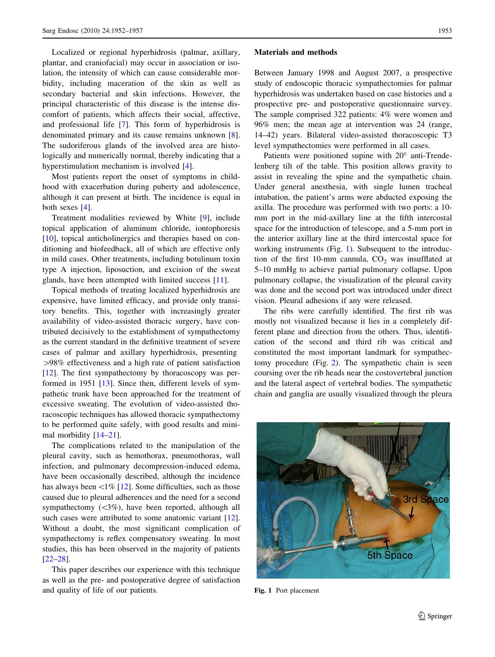Localized or regional hyperhidrosis (palmar, axillary, plantar, and craniofacial) may occur in association or isolation, the intensity of which can cause considerable morbidity, including maceration of the skin as well as secondary bacterial and skin infections. However, the principal characteristic of this disease is the intense discomfort of patients, which affects their social, affective, and professional life [\[7](#page-5-0)]. This form of hyperhidrosis is denominated primary and its cause remains unknown [\[8](#page-5-0)]. The sudoriferous glands of the involved area are histologically and numerically normal, thereby indicating that a hyperstimulation mechanism is involved [[4\]](#page-5-0).

Most patients report the onset of symptoms in childhood with exacerbation during puberty and adolescence, although it can present at birth. The incidence is equal in both sexes [\[4](#page-5-0)].

Treatment modalities reviewed by White [[9\]](#page-5-0), include topical application of aluminum chloride, iontophoresis [\[10](#page-5-0)], topical anticholinergics and therapies based on conditioning and biofeedback, all of which are effective only in mild cases. Other treatments, including botulinum toxin type A injection, liposuction, and excision of the sweat glands, have been attempted with limited success [[11\]](#page-5-0).

Topical methods of treating localized hyperhidrosis are expensive, have limited efficacy, and provide only transitory benefits. This, together with increasingly greater availability of video-assisted thoracic surgery, have contributed decisively to the establishment of sympathectomy as the current standard in the definitive treatment of severe cases of palmar and axillary hyperhidrosis, presenting [98% effectiveness and a high rate of patient satisfaction  $[12]$  $[12]$ . The first sympathectomy by thoracoscopy was performed in 1951 [\[13](#page-5-0)]. Since then, different levels of sympathetic trunk have been approached for the treatment of excessive sweating. The evolution of video-assisted thoracoscopic techniques has allowed thoracic sympathectomy to be performed quite safely, with good results and minimal morbidity [[14–21\]](#page-5-0).

The complications related to the manipulation of the pleural cavity, such as hemothorax, pneumothorax, wall infection, and pulmonary decompression-induced edema, have been occasionally described, although the incidence has always been  $\lt 1\%$  [[12\]](#page-5-0). Some difficulties, such as those caused due to pleural adherences and the need for a second sympathectomy  $(\leq 3\%)$ , have been reported, although all such cases were attributed to some anatomic variant [\[12](#page-5-0)]. Without a doubt, the most significant complication of sympathectomy is reflex compensatory sweating. In most studies, this has been observed in the majority of patients [\[22–28](#page-5-0)].

This paper describes our experience with this technique as well as the pre- and postoperative degree of satisfaction and quality of life of our patients.

#### Materials and methods

Between January 1998 and August 2007, a prospective study of endoscopic thoracic sympathectomies for palmar hyperhidrosis was undertaken based on case histories and a prospective pre- and postoperative questionnaire survey. The sample comprised 322 patients: 4% were women and 96% men; the mean age at intervention was 24 (range, 14–42) years. Bilateral video-assisted thoracoscopic T3 level sympathectomies were performed in all cases.

Patients were positioned supine with  $20^{\circ}$  anti-Trendelenberg tilt of the table. This position allows gravity to assist in revealing the spine and the sympathetic chain. Under general anesthesia, with single lumen tracheal intubation, the patient's arms were abducted exposing the axilla. The procedure was performed with two ports: a 10 mm port in the mid-axillary line at the fifth intercostal space for the introduction of telescope, and a 5-mm port in the anterior axillary line at the third intercostal space for working instruments (Fig. 1). Subsequent to the introduction of the first 10-mm cannula,  $CO<sub>2</sub>$  was insufflated at 5–10 mmHg to achieve partial pulmonary collapse. Upon pulmonary collapse, the visualization of the pleural cavity was done and the second port was introduced under direct vision. Pleural adhesions if any were released.

The ribs were carefully identified. The first rib was mostly not visualized because it lies in a completely different plane and direction from the others. Thus, identification of the second and third rib was critical and constituted the most important landmark for sympathectomy procedure (Fig. [2\)](#page-2-0). The sympathetic chain is seen coursing over the rib heads near the costovertebral junction and the lateral aspect of vertebral bodies. The sympathetic chain and ganglia are usually visualized through the pleura



Fig. 1 Port placement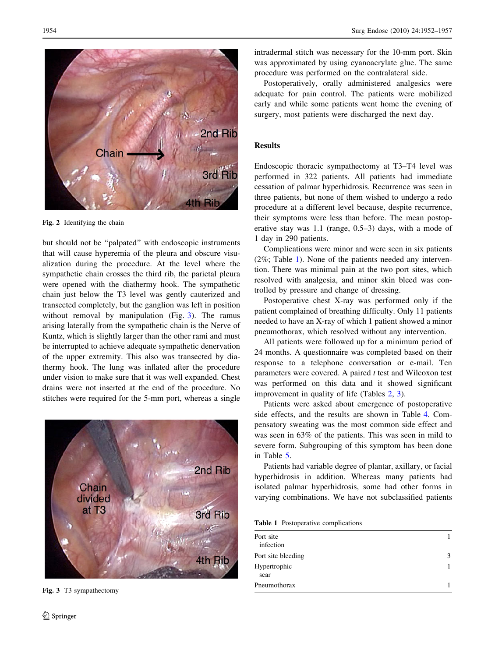<span id="page-2-0"></span>

Fig. 2 Identifying the chain

but should not be ''palpated'' with endoscopic instruments that will cause hyperemia of the pleura and obscure visualization during the procedure. At the level where the sympathetic chain crosses the third rib, the parietal pleura were opened with the diathermy hook. The sympathetic chain just below the T3 level was gently cauterized and transected completely, but the ganglion was left in position without removal by manipulation (Fig. 3). The ramus arising laterally from the sympathetic chain is the Nerve of Kuntz, which is slightly larger than the other rami and must be interrupted to achieve adequate sympathetic denervation of the upper extremity. This also was transected by diathermy hook. The lung was inflated after the procedure under vision to make sure that it was well expanded. Chest drains were not inserted at the end of the procedure. No stitches were required for the 5-mm port, whereas a single



Fig. 3 T3 sympathectomy

intradermal stitch was necessary for the 10-mm port. Skin was approximated by using cyanoacrylate glue. The same procedure was performed on the contralateral side.

Postoperatively, orally administered analgesics were adequate for pain control. The patients were mobilized early and while some patients went home the evening of surgery, most patients were discharged the next day.

## Results

Endoscopic thoracic sympathectomy at T3–T4 level was performed in 322 patients. All patients had immediate cessation of palmar hyperhidrosis. Recurrence was seen in three patients, but none of them wished to undergo a redo procedure at a different level because, despite recurrence, their symptoms were less than before. The mean postoperative stay was 1.1 (range, 0.5–3) days, with a mode of 1 day in 290 patients.

Complications were minor and were seen in six patients (2%; Table 1). None of the patients needed any intervention. There was minimal pain at the two port sites, which resolved with analgesia, and minor skin bleed was controlled by pressure and change of dressing.

Postoperative chest X-ray was performed only if the patient complained of breathing difficulty. Only 11 patients needed to have an X-ray of which 1 patient showed a minor pneumothorax, which resolved without any intervention.

All patients were followed up for a minimum period of 24 months. A questionnaire was completed based on their response to a telephone conversation or e-mail. Ten parameters were covered. A paired  $t$  test and Wilcoxon test was performed on this data and it showed significant improvement in quality of life (Tables [2,](#page-3-0) [3\)](#page-3-0).

Patients were asked about emergence of postoperative side effects, and the results are shown in Table [4.](#page-4-0) Compensatory sweating was the most common side effect and was seen in 63% of the patients. This was seen in mild to severe form. Subgrouping of this symptom has been done in Table [5](#page-4-0).

Patients had variable degree of plantar, axillary, or facial hyperhidrosis in addition. Whereas many patients had isolated palmar hyperhidrosis, some had other forms in varying combinations. We have not subclassified patients

Table 1 Postoperative complications

| Port site<br>infection |  |
|------------------------|--|
| Port site bleeding     |  |
| Hypertrophic<br>scar   |  |
| Pneumothorax           |  |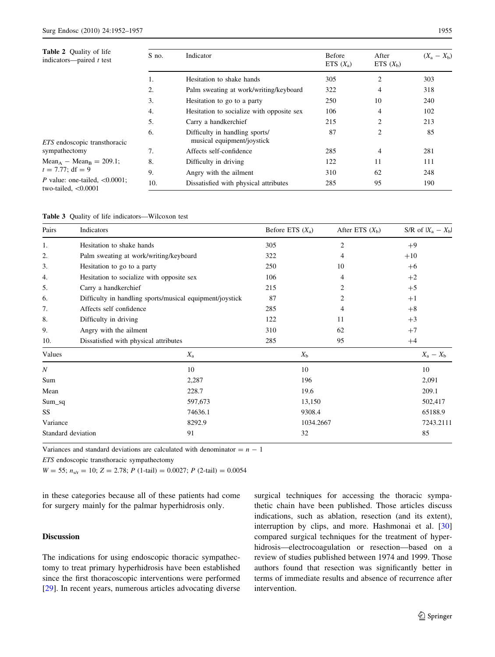<span id="page-3-0"></span>

| <b>Table 2</b> Quality of life<br>indicators—paired $t$ test | S no. | Indicator                                                    | <b>Before</b><br>ETS $(X_{\rm a})$ | After<br>ETS $(X_h)$ | $(X_{a} - X_{b})$ |
|--------------------------------------------------------------|-------|--------------------------------------------------------------|------------------------------------|----------------------|-------------------|
|                                                              |       | Hesitation to shake hands                                    | 305                                | $\overline{2}$       | 303               |
|                                                              | 2.    | Palm sweating at work/writing/keyboard                       | 322                                | 4                    | 318               |
|                                                              | 3.    | Hesitation to go to a party                                  | 250                                | 10                   | 240               |
|                                                              | 4.    | Hesitation to socialize with opposite sex                    | 106                                | 4                    | 102               |
|                                                              | 5.    | Carry a handkerchief                                         | 215                                | $\overline{2}$       | 213               |
| <i>ETS</i> endoscopic transthoracic                          | 6.    | Difficulty in handling sports/<br>musical equipment/joystick | 87                                 | 2                    | 85                |
| sympathectomy                                                | 7.    | Affects self-confidence                                      | 285                                | 4                    | 281               |
| $Mean_A - Mean_B = 209.1$ ;                                  | 8.    | Difficulty in driving                                        | 122                                | 11                   | 111               |
| $t = 7.77$ ; df = 9                                          | 9.    | Angry with the ailment                                       | 310                                | 62                   | 248               |
| P value: one-tailed, $< 0.0001$ ;<br>two-tailed, $< 0.0001$  | 10.   | Dissatisfied with physical attributes                        | 285                                | 95                   | 190               |

|  |  |  |  | <b>Table 3</b> Quality of life indicators—Wilcoxon test |  |
|--|--|--|--|---------------------------------------------------------|--|
|--|--|--|--|---------------------------------------------------------|--|

| Pairs              | Indicators                                               |         | Before ETS $(X_a)$ | After ETS $(X_h)$ |       | S/R of $ X_a - X_b $    |
|--------------------|----------------------------------------------------------|---------|--------------------|-------------------|-------|-------------------------|
| 1.                 | Hesitation to shake hands                                |         | 305                | 2                 | $+9$  |                         |
| 2.                 | Palm sweating at work/writing/keyboard                   |         | 322                | 4                 | $+10$ |                         |
| 3.                 | Hesitation to go to a party                              |         | 250                | 10                | $+6$  |                         |
| 4.                 | Hesitation to socialize with opposite sex                |         | 106                | 4                 | $+2$  |                         |
| 5.                 | Carry a handkerchief                                     |         | 215                | 2                 | $+5$  |                         |
| 6.                 | Difficulty in handling sports/musical equipment/joystick |         | 87                 | 2                 | $+1$  |                         |
| 7.                 | Affects self confidence                                  |         | 285                | 4                 | $+8$  |                         |
| 8.                 | Difficulty in driving                                    |         | 122                | 11                | $+3$  |                         |
| 9.                 | Angry with the ailment                                   |         | 310                | 62                | $+7$  |                         |
| 10.                | Dissatisfied with physical attributes                    |         | 285                | 95                | $+4$  |                         |
| Values             | $X_{\rm a}$                                              |         |                    | $X_{\rm b}$       |       | $X_{\rm a} - X_{\rm b}$ |
| $\boldsymbol{N}$   | 10                                                       |         |                    | 10                |       | 10                      |
| Sum                | 2,287                                                    |         |                    | 196               |       | 2,091                   |
| Mean               |                                                          | 228.7   |                    | 19.6              |       | 209.1                   |
| $Sum_sq$           |                                                          | 597,673 |                    | 13,150            |       | 502,417                 |
| SS                 |                                                          | 74636.1 |                    | 9308.4            |       | 65188.9                 |
| Variance           |                                                          | 8292.9  |                    | 1034.2667         |       | 7243.2111               |
| Standard deviation | 91                                                       |         |                    | 32                |       | 85                      |

Variances and standard deviations are calculated with denominator  $= n - 1$ 

ETS endoscopic transthoracic sympathectomy

 $W = 55$ ;  $n_{s/r} = 10$ ;  $Z = 2.78$ ;  $P(1-tail) = 0.0027$ ;  $P(2-tail) = 0.0054$ 

in these categories because all of these patients had come for surgery mainly for the palmar hyperhidrosis only.

# Discussion

The indications for using endoscopic thoracic sympathectomy to treat primary hyperhidrosis have been established since the first thoracoscopic interventions were performed [\[29](#page-5-0)]. In recent years, numerous articles advocating diverse surgical techniques for accessing the thoracic sympathetic chain have been published. Those articles discuss indications, such as ablation, resection (and its extent), interruption by clips, and more. Hashmonai et al. [[30\]](#page-5-0) compared surgical techniques for the treatment of hyperhidrosis—electrocoagulation or resection—based on a review of studies published between 1974 and 1999. Those authors found that resection was significantly better in terms of immediate results and absence of recurrence after intervention.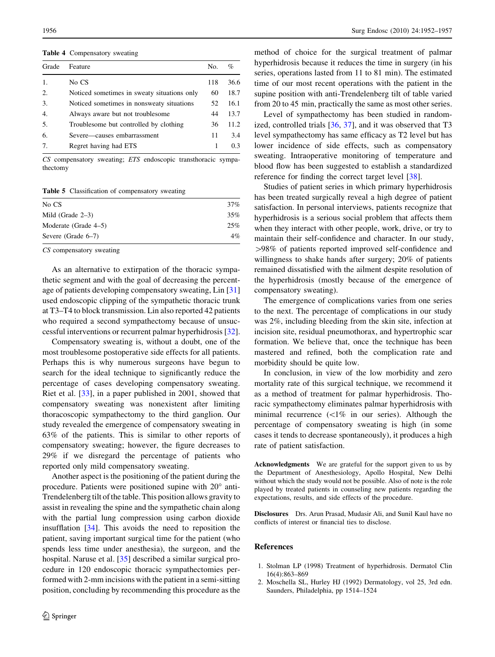<span id="page-4-0"></span>Table 4 Compensatory sweating

| Grade | Feature                                     | No. | %    |
|-------|---------------------------------------------|-----|------|
|       | No CS                                       | 118 | 36.6 |
| 2.    | Noticed sometimes in sweaty situations only | 60  | 18.7 |
| 3.    | Noticed sometimes in nonsweaty situations   | 52  | 16.1 |
| 4.    | Always aware but not troublesome            | 44  | 13.7 |
| 5.    | Troublesome but controlled by clothing      | 36  | 11.2 |
| 6.    | Severe—causes embarrassment                 | 11  | 3.4  |
|       | Regret having had ETS                       |     | 0.3  |

CS compensatory sweating; ETS endoscopic transthoracic sympathectomy

Table 5 Classification of compensatory sweating

| No CS                 | 37%   |
|-----------------------|-------|
| Mild (Grade $2-3$ )   | 35%   |
| Moderate (Grade 4–5)  | 25%   |
| Severe (Grade $6-7$ ) | $4\%$ |

CS compensatory sweating

As an alternative to extirpation of the thoracic sympathetic segment and with the goal of decreasing the percentage of patients developing compensatory sweating, Lin [[31\]](#page-5-0) used endoscopic clipping of the sympathetic thoracic trunk at T3–T4 to block transmission. Lin also reported 42 patients who required a second sympathectomy because of unsuccessful interventions or recurrent palmar hyperhidrosis [\[32](#page-5-0)].

Compensatory sweating is, without a doubt, one of the most troublesome postoperative side effects for all patients. Perhaps this is why numerous surgeons have begun to search for the ideal technique to significantly reduce the percentage of cases developing compensatory sweating. Riet et al. [[33\]](#page-5-0), in a paper published in 2001, showed that compensatory sweating was nonexistent after limiting thoracoscopic sympathectomy to the third ganglion. Our study revealed the emergence of compensatory sweating in 63% of the patients. This is similar to other reports of compensatory sweating; however, the figure decreases to 29% if we disregard the percentage of patients who reported only mild compensatory sweating.

Another aspect is the positioning of the patient during the procedure. Patients were positioned supine with  $20^{\circ}$  anti-Trendelenberg tilt of the table. This position allows gravity to assist in revealing the spine and the sympathetic chain along with the partial lung compression using carbon dioxide insufflation [[34\]](#page-5-0). This avoids the need to reposition the patient, saving important surgical time for the patient (who spends less time under anesthesia), the surgeon, and the hospital. Naruse et al. [\[35](#page-5-0)] described a similar surgical procedure in 120 endoscopic thoracic sympathectomies performed with 2-mm incisions with the patient in a semi-sitting position, concluding by recommending this procedure as the method of choice for the surgical treatment of palmar hyperhidrosis because it reduces the time in surgery (in his series, operations lasted from 11 to 81 min). The estimated time of our most recent operations with the patient in the supine position with anti-Trendelenberg tilt of table varied from 20 to 45 min, practically the same as most other series.

Level of sympathectomy has been studied in randomized, controlled trials [\[36](#page-5-0), [37](#page-5-0)], and it was observed that T3 level sympathectomy has same efficacy as T2 level but has lower incidence of side effects, such as compensatory sweating. Intraoperative monitoring of temperature and blood flow has been suggested to establish a standardized reference for finding the correct target level [[38\]](#page-5-0).

Studies of patient series in which primary hyperhidrosis has been treated surgically reveal a high degree of patient satisfaction. In personal interviews, patients recognize that hyperhidrosis is a serious social problem that affects them when they interact with other people, work, drive, or try to maintain their self-confidence and character. In our study, [98% of patients reported improved self-confidence and willingness to shake hands after surgery; 20% of patients remained dissatisfied with the ailment despite resolution of the hyperhidrosis (mostly because of the emergence of compensatory sweating).

The emergence of complications varies from one series to the next. The percentage of complications in our study was 2%, including bleeding from the skin site, infection at incision site, residual pneumothorax, and hypertrophic scar formation. We believe that, once the technique has been mastered and refined, both the complication rate and morbidity should be quite low.

In conclusion, in view of the low morbidity and zero mortality rate of this surgical technique, we recommend it as a method of treatment for palmar hyperhidrosis. Thoracic sympathectomy eliminates palmar hyperhidrosis with minimal recurrence  $(\langle 1\%$  in our series). Although the percentage of compensatory sweating is high (in some cases it tends to decrease spontaneously), it produces a high rate of patient satisfaction.

Acknowledgments We are grateful for the support given to us by the Department of Anesthesiology, Apollo Hospital, New Delhi without which the study would not be possible. Also of note is the role played by treated patients in counseling new patients regarding the expectations, results, and side effects of the procedure.

Disclosures Drs. Arun Prasad, Mudasir Ali, and Sunil Kaul have no conflicts of interest or financial ties to disclose.

#### References

- 1. Stolman LP (1998) Treatment of hyperhidrosis. Dermatol Clin 16(4):863–869
- 2. Moschella SL, Hurley HJ (1992) Dermatology, vol 25, 3rd edn. Saunders, Philadelphia, pp 1514–1524